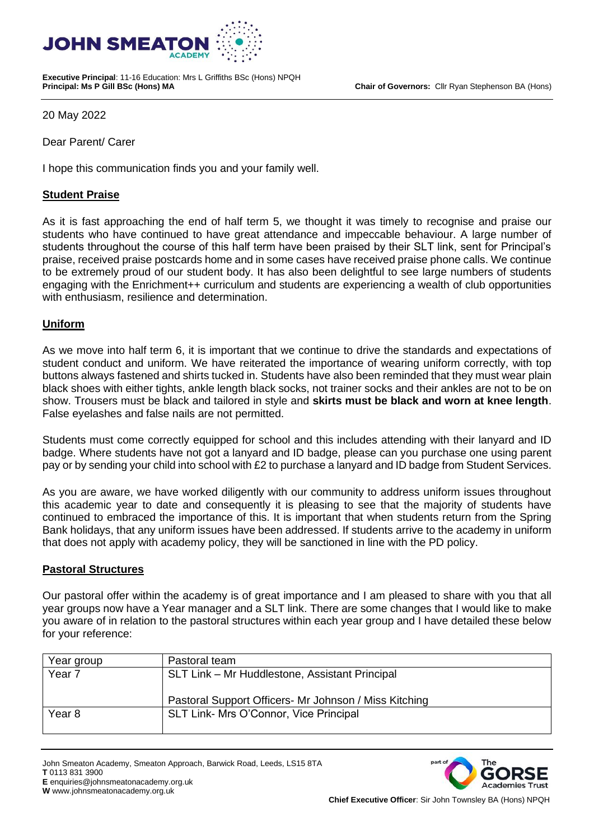**Chair of Governors:** Cllr Ryan Stephenson BA (Hons)



**Executive Principal**: 11-16 Education: Mrs L Griffiths BSc (Hons) NPQH

20 May 2022

Dear Parent/ Carer

I hope this communication finds you and your family well.

## **Student Praise**

As it is fast approaching the end of half term 5, we thought it was timely to recognise and praise our students who have continued to have great attendance and impeccable behaviour. A large number of students throughout the course of this half term have been praised by their SLT link, sent for Principal's praise, received praise postcards home and in some cases have received praise phone calls. We continue to be extremely proud of our student body. It has also been delightful to see large numbers of students engaging with the Enrichment++ curriculum and students are experiencing a wealth of club opportunities with enthusiasm, resilience and determination.

# **Uniform**

As we move into half term 6, it is important that we continue to drive the standards and expectations of student conduct and uniform. We have reiterated the importance of wearing uniform correctly, with top buttons always fastened and shirts tucked in. Students have also been reminded that they must wear plain black shoes with either tights, ankle length black socks, not trainer socks and their ankles are not to be on show. Trousers must be black and tailored in style and **skirts must be black and worn at knee length**. False eyelashes and false nails are not permitted.

Students must come correctly equipped for school and this includes attending with their lanyard and ID badge. Where students have not got a lanyard and ID badge, please can you purchase one using parent pay or by sending your child into school with £2 to purchase a lanyard and ID badge from Student Services.

As you are aware, we have worked diligently with our community to address uniform issues throughout this academic year to date and consequently it is pleasing to see that the majority of students have continued to embraced the importance of this. It is important that when students return from the Spring Bank holidays, that any uniform issues have been addressed. If students arrive to the academy in uniform that does not apply with academy policy, they will be sanctioned in line with the PD policy.

### **Pastoral Structures**

Our pastoral offer within the academy is of great importance and I am pleased to share with you that all year groups now have a Year manager and a SLT link. There are some changes that I would like to make you aware of in relation to the pastoral structures within each year group and I have detailed these below for your reference:

| Year group        | Pastoral team                                          |
|-------------------|--------------------------------------------------------|
| Year <sub>7</sub> | SLT Link - Mr Huddlestone, Assistant Principal         |
|                   |                                                        |
|                   | Pastoral Support Officers - Mr Johnson / Miss Kitching |
| Year <sub>8</sub> | SLT Link- Mrs O'Connor, Vice Principal                 |
|                   |                                                        |